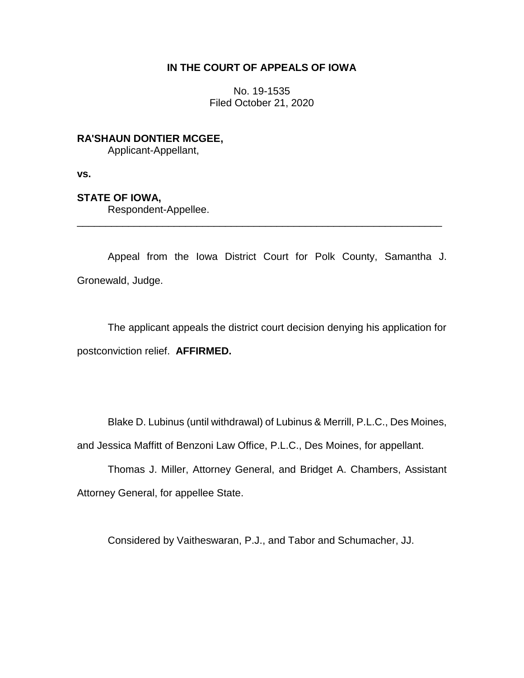# **IN THE COURT OF APPEALS OF IOWA**

No. 19-1535 Filed October 21, 2020

**RA'SHAUN DONTIER MCGEE,** Applicant-Appellant,

**vs.**

## **STATE OF IOWA,**

Respondent-Appellee.

Appeal from the Iowa District Court for Polk County, Samantha J. Gronewald, Judge.

\_\_\_\_\_\_\_\_\_\_\_\_\_\_\_\_\_\_\_\_\_\_\_\_\_\_\_\_\_\_\_\_\_\_\_\_\_\_\_\_\_\_\_\_\_\_\_\_\_\_\_\_\_\_\_\_\_\_\_\_\_\_\_\_

The applicant appeals the district court decision denying his application for postconviction relief. **AFFIRMED.**

Blake D. Lubinus (until withdrawal) of Lubinus & Merrill, P.L.C., Des Moines, and Jessica Maffitt of Benzoni Law Office, P.L.C., Des Moines, for appellant.

Thomas J. Miller, Attorney General, and Bridget A. Chambers, Assistant Attorney General, for appellee State.

Considered by Vaitheswaran, P.J., and Tabor and Schumacher, JJ.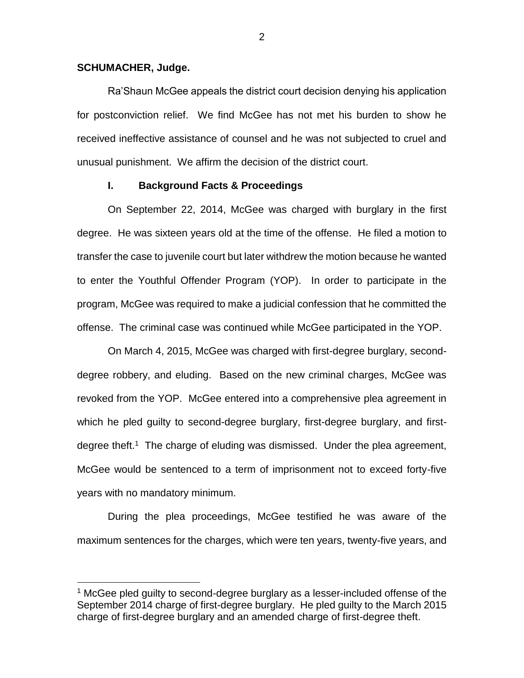#### **SCHUMACHER, Judge.**

 $\overline{a}$ 

Ra'Shaun McGee appeals the district court decision denying his application for postconviction relief. We find McGee has not met his burden to show he received ineffective assistance of counsel and he was not subjected to cruel and unusual punishment. We affirm the decision of the district court.

#### **I. Background Facts & Proceedings**

On September 22, 2014, McGee was charged with burglary in the first degree. He was sixteen years old at the time of the offense. He filed a motion to transfer the case to juvenile court but later withdrew the motion because he wanted to enter the Youthful Offender Program (YOP). In order to participate in the program, McGee was required to make a judicial confession that he committed the offense. The criminal case was continued while McGee participated in the YOP.

On March 4, 2015, McGee was charged with first-degree burglary, seconddegree robbery, and eluding. Based on the new criminal charges, McGee was revoked from the YOP. McGee entered into a comprehensive plea agreement in which he pled guilty to second-degree burglary, first-degree burglary, and firstdegree theft.<sup>1</sup> The charge of eluding was dismissed. Under the plea agreement, McGee would be sentenced to a term of imprisonment not to exceed forty-five years with no mandatory minimum.

During the plea proceedings, McGee testified he was aware of the maximum sentences for the charges, which were ten years, twenty-five years, and

 $1$  McGee pled guilty to second-degree burglary as a lesser-included offense of the September 2014 charge of first-degree burglary. He pled guilty to the March 2015 charge of first-degree burglary and an amended charge of first-degree theft.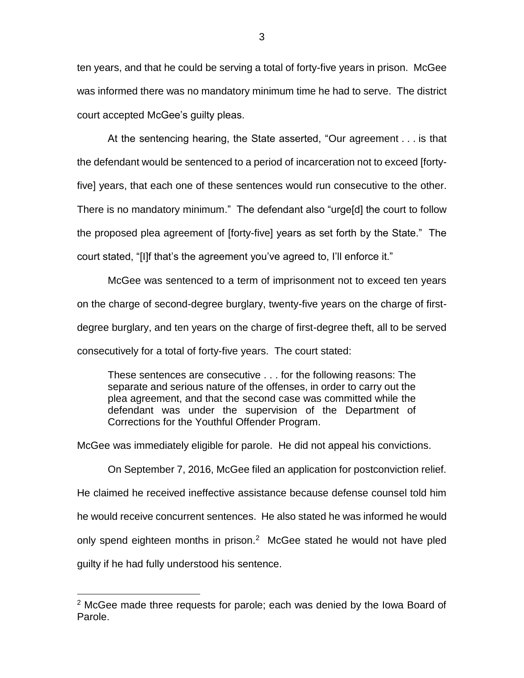ten years, and that he could be serving a total of forty-five years in prison. McGee was informed there was no mandatory minimum time he had to serve. The district court accepted McGee's guilty pleas.

At the sentencing hearing, the State asserted, "Our agreement . . . is that the defendant would be sentenced to a period of incarceration not to exceed [fortyfive] years, that each one of these sentences would run consecutive to the other. There is no mandatory minimum." The defendant also "urge[d] the court to follow the proposed plea agreement of [forty-five] years as set forth by the State." The court stated, "[I]f that's the agreement you've agreed to, I'll enforce it."

McGee was sentenced to a term of imprisonment not to exceed ten years on the charge of second-degree burglary, twenty-five years on the charge of firstdegree burglary, and ten years on the charge of first-degree theft, all to be served consecutively for a total of forty-five years. The court stated:

These sentences are consecutive . . . for the following reasons: The separate and serious nature of the offenses, in order to carry out the plea agreement, and that the second case was committed while the defendant was under the supervision of the Department of Corrections for the Youthful Offender Program.

McGee was immediately eligible for parole. He did not appeal his convictions.

On September 7, 2016, McGee filed an application for postconviction relief. He claimed he received ineffective assistance because defense counsel told him he would receive concurrent sentences. He also stated he was informed he would only spend eighteen months in prison. $2$  McGee stated he would not have pled guilty if he had fully understood his sentence.

 $\overline{a}$ 

 $2$  McGee made three requests for parole; each was denied by the Iowa Board of Parole.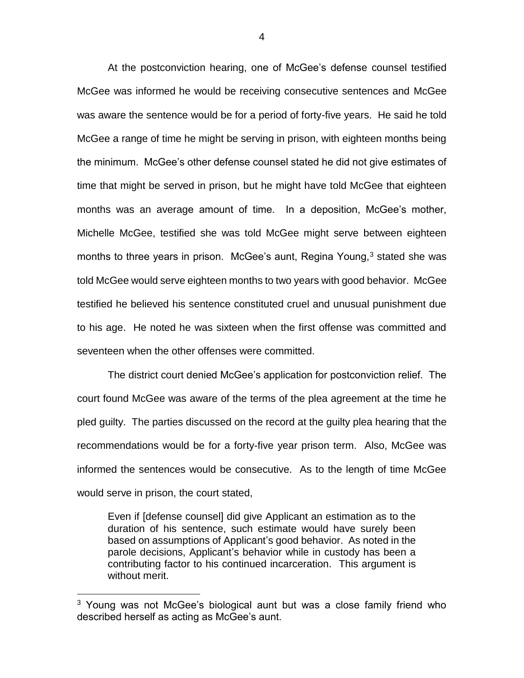At the postconviction hearing, one of McGee's defense counsel testified McGee was informed he would be receiving consecutive sentences and McGee was aware the sentence would be for a period of forty-five years. He said he told McGee a range of time he might be serving in prison, with eighteen months being the minimum. McGee's other defense counsel stated he did not give estimates of time that might be served in prison, but he might have told McGee that eighteen months was an average amount of time. In a deposition, McGee's mother, Michelle McGee, testified she was told McGee might serve between eighteen months to three years in prison. McGee's aunt, Regina Young, $3$  stated she was told McGee would serve eighteen months to two years with good behavior. McGee testified he believed his sentence constituted cruel and unusual punishment due to his age. He noted he was sixteen when the first offense was committed and seventeen when the other offenses were committed.

The district court denied McGee's application for postconviction relief. The court found McGee was aware of the terms of the plea agreement at the time he pled guilty. The parties discussed on the record at the guilty plea hearing that the recommendations would be for a forty-five year prison term. Also, McGee was informed the sentences would be consecutive. As to the length of time McGee would serve in prison, the court stated,

Even if [defense counsel] did give Applicant an estimation as to the duration of his sentence, such estimate would have surely been based on assumptions of Applicant's good behavior. As noted in the parole decisions, Applicant's behavior while in custody has been a contributing factor to his continued incarceration. This argument is without merit.

 $\overline{a}$ 

<sup>&</sup>lt;sup>3</sup> Young was not McGee's biological aunt but was a close family friend who described herself as acting as McGee's aunt.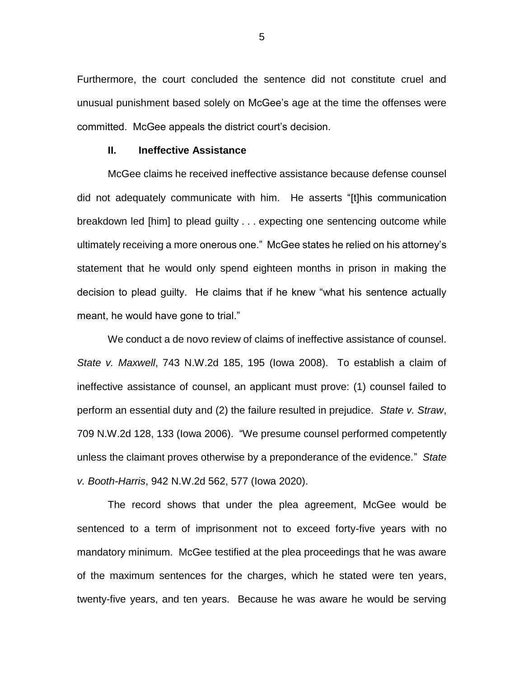Furthermore, the court concluded the sentence did not constitute cruel and unusual punishment based solely on McGee's age at the time the offenses were committed. McGee appeals the district court's decision.

#### **II. Ineffective Assistance**

McGee claims he received ineffective assistance because defense counsel did not adequately communicate with him. He asserts "[t]his communication breakdown led [him] to plead guilty . . . expecting one sentencing outcome while ultimately receiving a more onerous one." McGee states he relied on his attorney's statement that he would only spend eighteen months in prison in making the decision to plead guilty. He claims that if he knew "what his sentence actually meant, he would have gone to trial."

We conduct a de novo review of claims of ineffective assistance of counsel. *State v. Maxwell*, 743 N.W.2d 185, 195 (Iowa 2008). To establish a claim of ineffective assistance of counsel, an applicant must prove: (1) counsel failed to perform an essential duty and (2) the failure resulted in prejudice. *State v. Straw*, 709 N.W.2d 128, 133 (Iowa 2006). "We presume counsel performed competently unless the claimant proves otherwise by a preponderance of the evidence." *State v. Booth-Harris*, 942 N.W.2d 562, 577 (Iowa 2020).

The record shows that under the plea agreement, McGee would be sentenced to a term of imprisonment not to exceed forty-five years with no mandatory minimum. McGee testified at the plea proceedings that he was aware of the maximum sentences for the charges, which he stated were ten years, twenty-five years, and ten years. Because he was aware he would be serving

5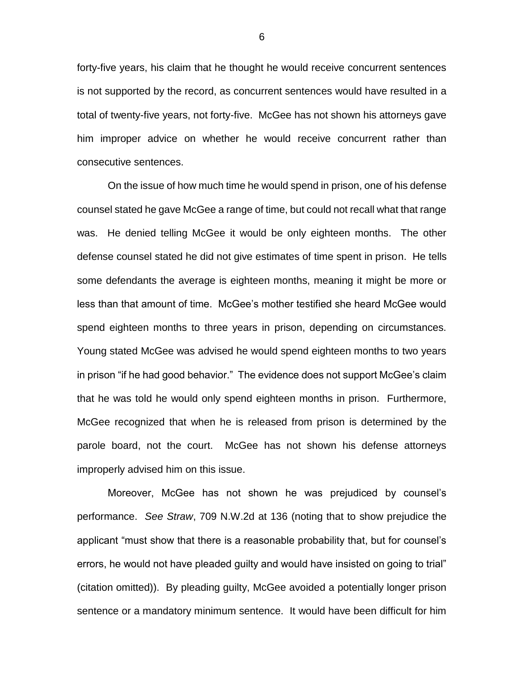forty-five years, his claim that he thought he would receive concurrent sentences is not supported by the record, as concurrent sentences would have resulted in a total of twenty-five years, not forty-five. McGee has not shown his attorneys gave him improper advice on whether he would receive concurrent rather than consecutive sentences.

On the issue of how much time he would spend in prison, one of his defense counsel stated he gave McGee a range of time, but could not recall what that range was. He denied telling McGee it would be only eighteen months. The other defense counsel stated he did not give estimates of time spent in prison. He tells some defendants the average is eighteen months, meaning it might be more or less than that amount of time. McGee's mother testified she heard McGee would spend eighteen months to three years in prison, depending on circumstances. Young stated McGee was advised he would spend eighteen months to two years in prison "if he had good behavior." The evidence does not support McGee's claim that he was told he would only spend eighteen months in prison. Furthermore, McGee recognized that when he is released from prison is determined by the parole board, not the court. McGee has not shown his defense attorneys improperly advised him on this issue.

Moreover, McGee has not shown he was prejudiced by counsel's performance. *See Straw*, 709 N.W.2d at 136 (noting that to show prejudice the applicant "must show that there is a reasonable probability that, but for counsel's errors, he would not have pleaded guilty and would have insisted on going to trial" (citation omitted)). By pleading guilty, McGee avoided a potentially longer prison sentence or a mandatory minimum sentence. It would have been difficult for him

6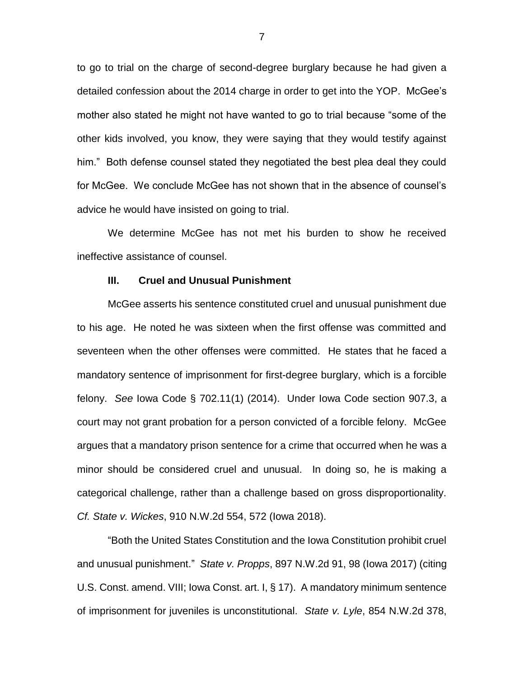to go to trial on the charge of second-degree burglary because he had given a detailed confession about the 2014 charge in order to get into the YOP. McGee's mother also stated he might not have wanted to go to trial because "some of the other kids involved, you know, they were saying that they would testify against him." Both defense counsel stated they negotiated the best plea deal they could for McGee. We conclude McGee has not shown that in the absence of counsel's advice he would have insisted on going to trial.

We determine McGee has not met his burden to show he received ineffective assistance of counsel.

### **III. Cruel and Unusual Punishment**

McGee asserts his sentence constituted cruel and unusual punishment due to his age. He noted he was sixteen when the first offense was committed and seventeen when the other offenses were committed. He states that he faced a mandatory sentence of imprisonment for first-degree burglary, which is a forcible felony. *See* Iowa Code § 702.11(1) (2014). Under Iowa Code section 907.3, a court may not grant probation for a person convicted of a forcible felony. McGee argues that a mandatory prison sentence for a crime that occurred when he was a minor should be considered cruel and unusual. In doing so, he is making a categorical challenge, rather than a challenge based on gross disproportionality. *Cf. State v. Wickes*, 910 N.W.2d 554, 572 (Iowa 2018).

"Both the United States Constitution and the Iowa Constitution prohibit cruel and unusual punishment." *State v. Propps*, 897 N.W.2d 91, 98 (Iowa 2017) (citing U.S. Const. amend. VIII; Iowa Const. art. I, § 17). A mandatory minimum sentence of imprisonment for juveniles is unconstitutional. *State v. Lyle*, 854 N.W.2d 378,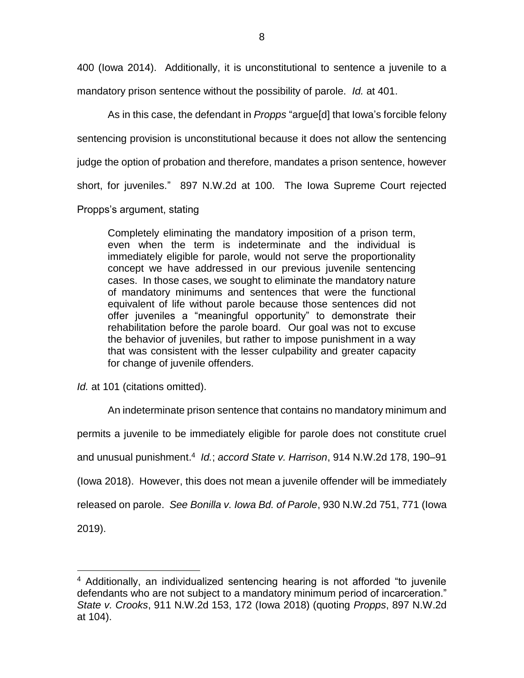400 (Iowa 2014). Additionally, it is unconstitutional to sentence a juvenile to a mandatory prison sentence without the possibility of parole. *Id.* at 401.

As in this case, the defendant in *Propps* "argue[d] that Iowa's forcible felony sentencing provision is unconstitutional because it does not allow the sentencing judge the option of probation and therefore, mandates a prison sentence, however short, for juveniles." 897 N.W.2d at 100. The Iowa Supreme Court rejected Propps's argument, stating

Completely eliminating the mandatory imposition of a prison term, even when the term is indeterminate and the individual is immediately eligible for parole, would not serve the proportionality concept we have addressed in our previous juvenile sentencing cases. In those cases, we sought to eliminate the mandatory nature of mandatory minimums and sentences that were the functional equivalent of life without parole because those sentences did not offer juveniles a "meaningful opportunity" to demonstrate their rehabilitation before the parole board. Our goal was not to excuse the behavior of juveniles, but rather to impose punishment in a way that was consistent with the lesser culpability and greater capacity for change of juvenile offenders.

*Id.* at 101 (citations omitted).

 $\overline{a}$ 

An indeterminate prison sentence that contains no mandatory minimum and permits a juvenile to be immediately eligible for parole does not constitute cruel and unusual punishment.<sup>4</sup> *Id.*; *accord State v. Harrison*, 914 N.W.2d 178, 190–91 (Iowa 2018). However, this does not mean a juvenile offender will be immediately released on parole. *See Bonilla v. Iowa Bd. of Parole*, 930 N.W.2d 751, 771 (Iowa 2019).

<sup>&</sup>lt;sup>4</sup> Additionally, an individualized sentencing hearing is not afforded "to juvenile defendants who are not subject to a mandatory minimum period of incarceration." *State v. Crooks*, 911 N.W.2d 153, 172 (Iowa 2018) (quoting *Propps*, 897 N.W.2d at 104).